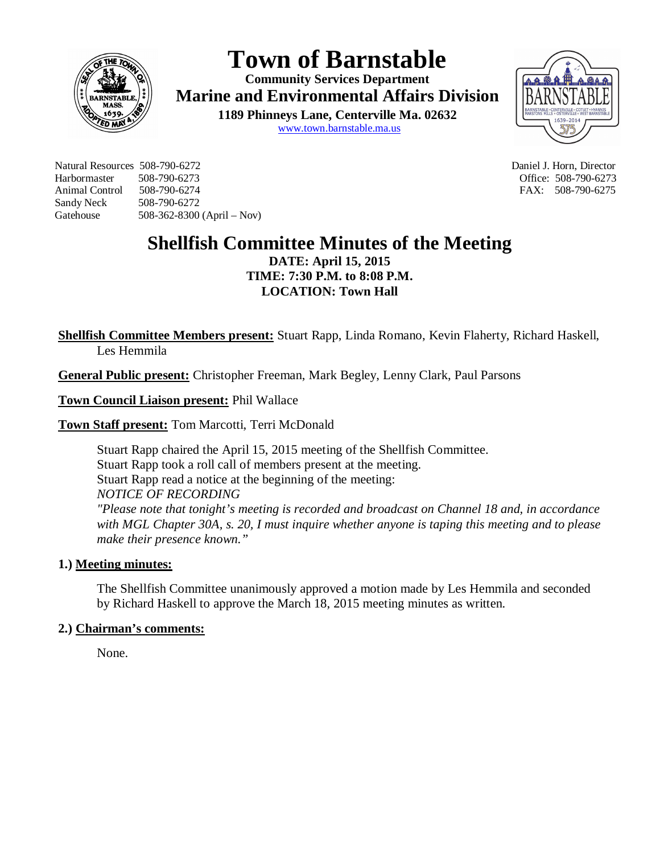

# **Town of Barnstable**

**Community Services Department Marine and Environmental Affairs Division** 

> **1189 Phinneys Lane, Centerville Ma. 02632** www.town.barnstable.ma.us



Natural Resources 508-790-6272 Daniel J. Horn, Director Harbormaster 508-790-6273 Office: 508-790-6273 Animal Control 508-790-6274 **FAX: 508-790-6275** Sandy Neck 508-790-6272 Gatehouse 508-362-8300 (April – Nov)

## **Shellfish Committee Minutes of the Meeting**

**DATE: April 15, 2015 TIME: 7:30 P.M. to 8:08 P.M. LOCATION: Town Hall**

**Shellfish Committee Members present:** Stuart Rapp, Linda Romano, Kevin Flaherty, Richard Haskell, Les Hemmila

**General Public present:** Christopher Freeman, Mark Begley, Lenny Clark, Paul Parsons

**Town Council Liaison present:** Phil Wallace

**Town Staff present:** Tom Marcotti, Terri McDonald

Stuart Rapp chaired the April 15, 2015 meeting of the Shellfish Committee. Stuart Rapp took a roll call of members present at the meeting. Stuart Rapp read a notice at the beginning of the meeting: *NOTICE OF RECORDING "Please note that tonight's meeting is recorded and broadcast on Channel 18 and, in accordance with MGL Chapter 30A, s. 20, I must inquire whether anyone is taping this meeting and to please make their presence known."*

#### **1.) Meeting minutes:**

The Shellfish Committee unanimously approved a motion made by Les Hemmila and seconded by Richard Haskell to approve the March 18, 2015 meeting minutes as written.

#### **2.) Chairman's comments:**

None.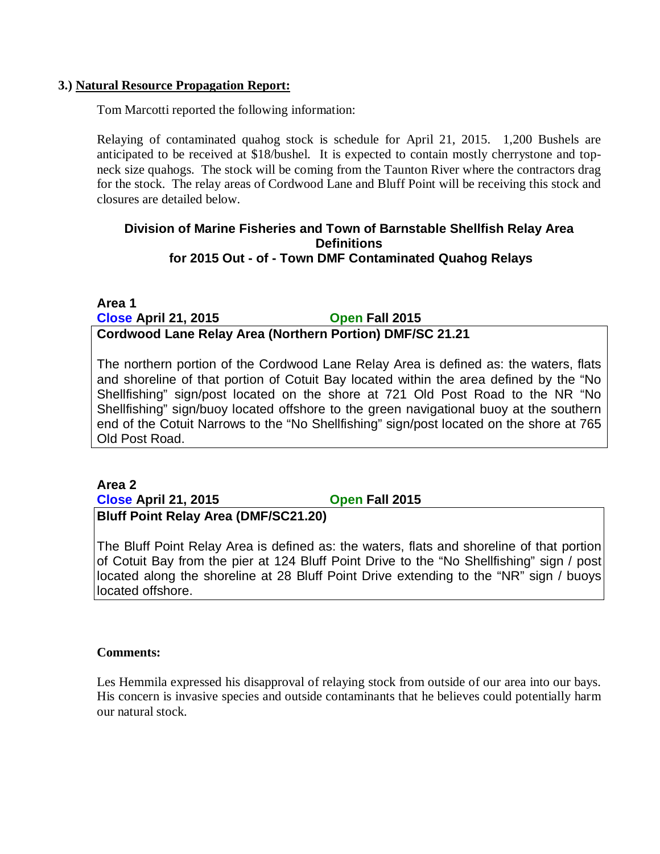#### **3.) Natural Resource Propagation Report:**

Tom Marcotti reported the following information:

Relaying of contaminated quahog stock is schedule for April 21, 2015. 1,200 Bushels are anticipated to be received at \$18/bushel. It is expected to contain mostly cherrystone and topneck size quahogs. The stock will be coming from the Taunton River where the contractors drag for the stock. The relay areas of Cordwood Lane and Bluff Point will be receiving this stock and closures are detailed below.

#### **Division of Marine Fisheries and Town of Barnstable Shellfish Relay Area Definitions for 2015 Out - of - Town DMF Contaminated Quahog Relays**

**Area 1 Close April 21, 2015 Open Fall 2015**

### **Cordwood Lane Relay Area (Northern Portion) DMF/SC 21.21**

The northern portion of the Cordwood Lane Relay Area is defined as: the waters, flats and shoreline of that portion of Cotuit Bay located within the area defined by the "No Shellfishing" sign/post located on the shore at 721 Old Post Road to the NR "No Shellfishing" sign/buoy located offshore to the green navigational buoy at the southern end of the Cotuit Narrows to the "No Shellfishing" sign/post located on the shore at 765 Old Post Road.

#### **Area 2 Close April 21, 2015 Open Fall 2015 Bluff Point Relay Area (DMF/SC21.20)**

The Bluff Point Relay Area is defined as: the waters, flats and shoreline of that portion of Cotuit Bay from the pier at 124 Bluff Point Drive to the "No Shellfishing" sign / post located along the shoreline at 28 Bluff Point Drive extending to the "NR" sign / buoys located offshore.

#### **Comments:**

Les Hemmila expressed his disapproval of relaying stock from outside of our area into our bays. His concern is invasive species and outside contaminants that he believes could potentially harm our natural stock.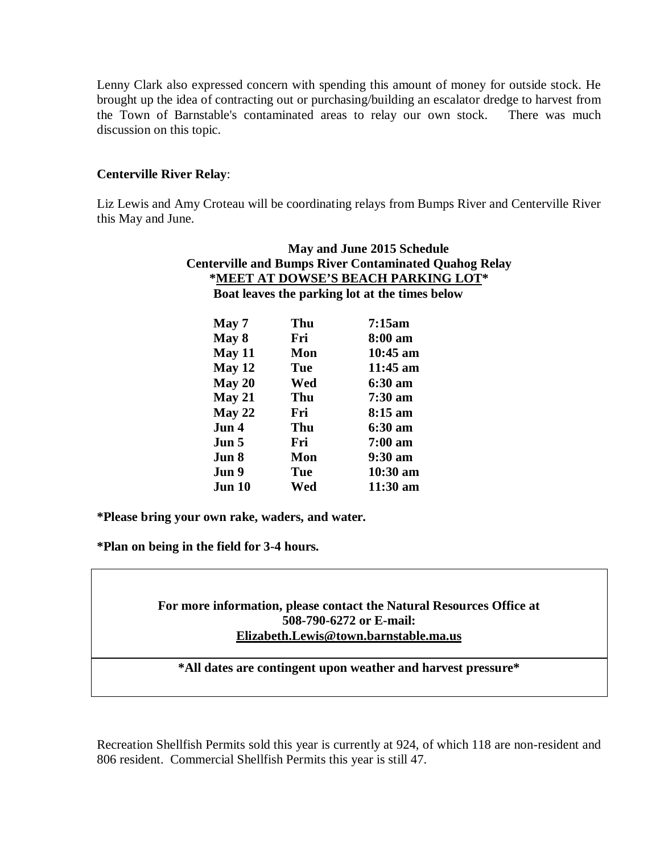Lenny Clark also expressed concern with spending this amount of money for outside stock. He brought up the idea of contracting out or purchasing/building an escalator dredge to harvest from the Town of Barnstable's contaminated areas to relay our own stock. There was much discussion on this topic.

#### **Centerville River Relay**:

Liz Lewis and Amy Croteau will be coordinating relays from Bumps River and Centerville River this May and June.

| May and June 2015 Schedule<br><b>Centerville and Bumps River Contaminated Quahog Relay</b><br>* <u>MEET AT DOWSE'S BEACH PARKING LOT</u> *<br>Boat leaves the parking lot at the times below |     |                    |        |     |            |
|----------------------------------------------------------------------------------------------------------------------------------------------------------------------------------------------|-----|--------------------|--------|-----|------------|
|                                                                                                                                                                                              |     |                    | May 7  | Thu | 7:15am     |
|                                                                                                                                                                                              |     |                    | May 8  | Fri | 8:00 am    |
|                                                                                                                                                                                              |     |                    | May 11 | Mon | $10:45$ am |
| May 12                                                                                                                                                                                       | Tue | $11:45 \text{ am}$ |        |     |            |
| May 20                                                                                                                                                                                       | Wed | 6:30 am            |        |     |            |
| May 21                                                                                                                                                                                       | Thu | $7:30 \text{ am}$  |        |     |            |
| May 22                                                                                                                                                                                       | Fri | $8:15 \text{ am}$  |        |     |            |
| Jun 4                                                                                                                                                                                        | Thu | 6:30 am            |        |     |            |
| Jun 5                                                                                                                                                                                        | Fri | $7:00~\text{am}$   |        |     |            |
| Jun 8                                                                                                                                                                                        | Mon | $9:30 \text{ am}$  |        |     |            |
| Jun 9                                                                                                                                                                                        | Tue | $10:30$ am         |        |     |            |
| Jun 10                                                                                                                                                                                       | Wed | $11:30 \text{ am}$ |        |     |            |

**\*Please bring your own rake, waders, and water.**

**\*Plan on being in the field for 3-4 hours.**

**For more information, please contact the Natural Resources Office at 508-790-6272 or E-mail: Elizabeth.Lewis@town.barnstable.ma.us**

**\*All dates are contingent upon weather and harvest pressure\***

Recreation Shellfish Permits sold this year is currently at 924, of which 118 are non-resident and 806 resident. Commercial Shellfish Permits this year is still 47.